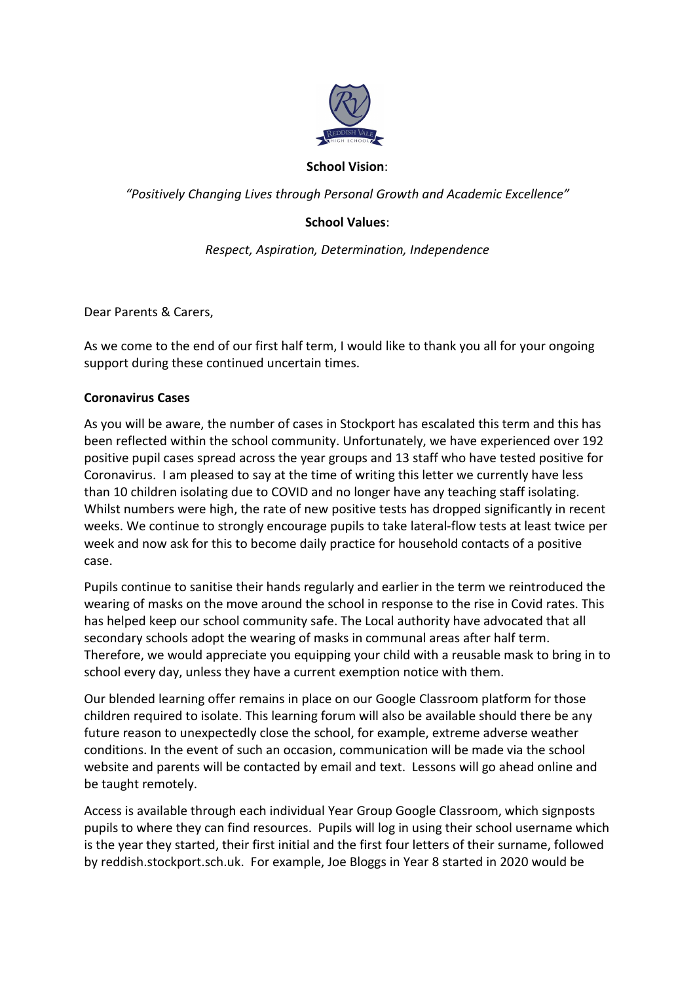

#### **School Vision**:

*"Positively Changing Lives through Personal Growth and Academic Excellence"*

## **School Values**:

*Respect, Aspiration, Determination, Independence*

Dear Parents & Carers,

As we come to the end of our first half term, I would like to thank you all for your ongoing support during these continued uncertain times.

#### **Coronavirus Cases**

As you will be aware, the number of cases in Stockport has escalated this term and this has been reflected within the school community. Unfortunately, we have experienced over 192 positive pupil cases spread across the year groups and 13 staff who have tested positive for Coronavirus. I am pleased to say at the time of writing this letter we currently have less than 10 children isolating due to COVID and no longer have any teaching staff isolating. Whilst numbers were high, the rate of new positive tests has dropped significantly in recent weeks. We continue to strongly encourage pupils to take lateral-flow tests at least twice per week and now ask for this to become daily practice for household contacts of a positive case.

Pupils continue to sanitise their hands regularly and earlier in the term we reintroduced the wearing of masks on the move around the school in response to the rise in Covid rates. This has helped keep our school community safe. The Local authority have advocated that all secondary schools adopt the wearing of masks in communal areas after half term. Therefore, we would appreciate you equipping your child with a reusable mask to bring in to school every day, unless they have a current exemption notice with them.

Our blended learning offer remains in place on our Google Classroom platform for those children required to isolate. This learning forum will also be available should there be any future reason to unexpectedly close the school, for example, extreme adverse weather conditions. In the event of such an occasion, communication will be made via the school website and parents will be contacted by email and text. Lessons will go ahead online and be taught remotely.

Access is available through each individual Year Group Google Classroom, which signposts pupils to where they can find resources. Pupils will log in using their school username which is the year they started, their first initial and the first four letters of their surname, followed by reddish.stockport.sch.uk. For example, Joe Bloggs in Year 8 started in 2020 would be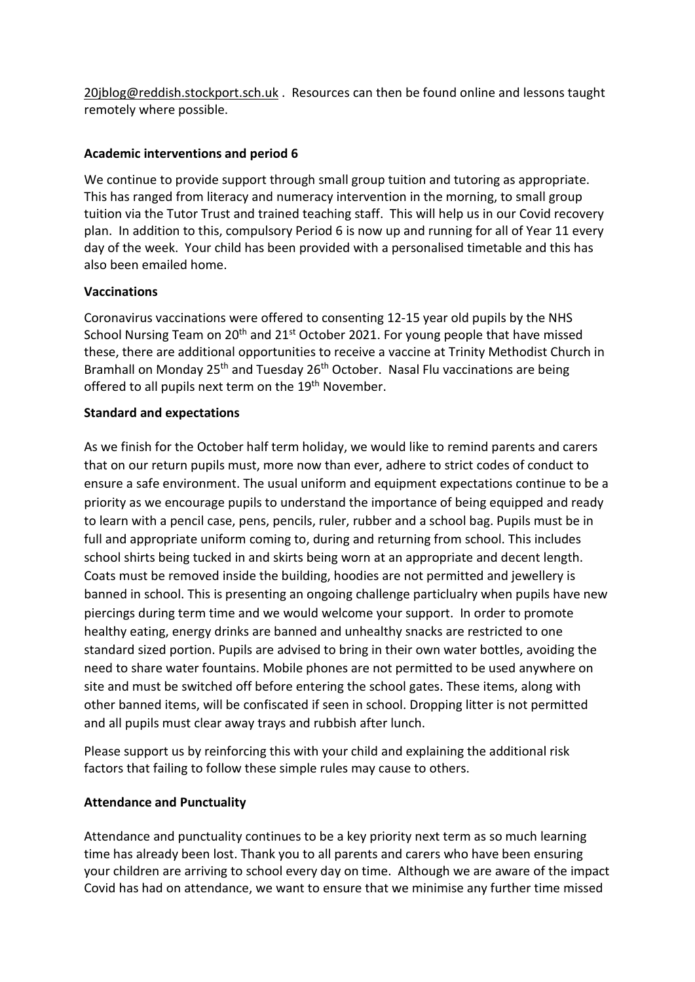[20jblog@reddish.stockport.sch.uk](mailto:20jblog@reddish.stockport.sch.uk) . Resources can then be found online and lessons taught remotely where possible.

## **Academic interventions and period 6**

We continue to provide support through small group tuition and tutoring as appropriate. This has ranged from literacy and numeracy intervention in the morning, to small group tuition via the Tutor Trust and trained teaching staff. This will help us in our Covid recovery plan. In addition to this, compulsory Period 6 is now up and running for all of Year 11 every day of the week. Your child has been provided with a personalised timetable and this has also been emailed home.

## **Vaccinations**

Coronavirus vaccinations were offered to consenting 12-15 year old pupils by the NHS School Nursing Team on  $20<sup>th</sup>$  and  $21<sup>st</sup>$  October 2021. For young people that have missed these, there are additional opportunities to receive a vaccine at Trinity Methodist Church in Bramhall on Monday 25<sup>th</sup> and Tuesday 26<sup>th</sup> October. Nasal Flu vaccinations are being offered to all pupils next term on the 19<sup>th</sup> November.

## **Standard and expectations**

As we finish for the October half term holiday, we would like to remind parents and carers that on our return pupils must, more now than ever, adhere to strict codes of conduct to ensure a safe environment. The usual uniform and equipment expectations continue to be a priority as we encourage pupils to understand the importance of being equipped and ready to learn with a pencil case, pens, pencils, ruler, rubber and a school bag. Pupils must be in full and appropriate uniform coming to, during and returning from school. This includes school shirts being tucked in and skirts being worn at an appropriate and decent length. Coats must be removed inside the building, hoodies are not permitted and jewellery is banned in school. This is presenting an ongoing challenge particlualry when pupils have new piercings during term time and we would welcome your support. In order to promote healthy eating, energy drinks are banned and unhealthy snacks are restricted to one standard sized portion. Pupils are advised to bring in their own water bottles, avoiding the need to share water fountains. Mobile phones are not permitted to be used anywhere on site and must be switched off before entering the school gates. These items, along with other banned items, will be confiscated if seen in school. Dropping litter is not permitted and all pupils must clear away trays and rubbish after lunch.

Please support us by reinforcing this with your child and explaining the additional risk factors that failing to follow these simple rules may cause to others.

## **Attendance and Punctuality**

Attendance and punctuality continues to be a key priority next term as so much learning time has already been lost. Thank you to all parents and carers who have been ensuring your children are arriving to school every day on time. Although we are aware of the impact Covid has had on attendance, we want to ensure that we minimise any further time missed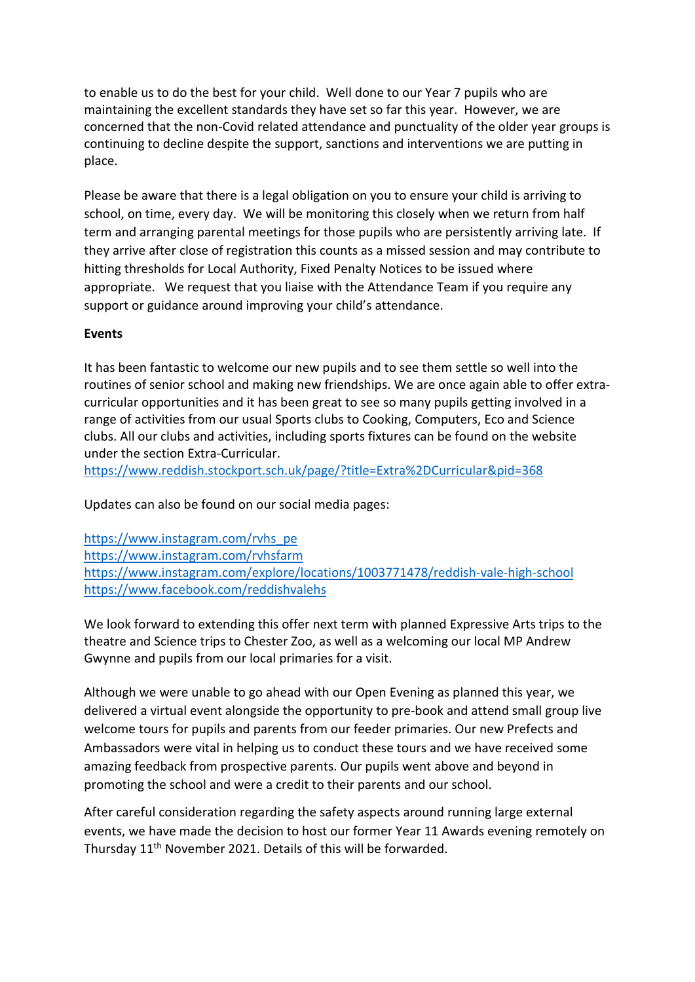to enable us to do the best for your child. Well done to our Year 7 pupils who are maintaining the excellent standards they have set so far this year. However, we are concerned that the non-Covid related attendance and punctuality of the older year groups is continuing to decline despite the support, sanctions and interventions we are putting in place.

Please be aware that there is a legal obligation on you to ensure your child is arriving to school, on time, every day. We will be monitoring this closely when we return from half term and arranging parental meetings for those pupils who are persistently arriving late. If they arrive after close of registration this counts as a missed session and may contribute to hitting thresholds for Local Authority, Fixed Penalty Notices to be issued where appropriate. We request that you liaise with the Attendance Team if you require any support or guidance around improving your child's attendance.

#### **Events**

It has been fantastic to welcome our new pupils and to see them settle so well into the routines of senior school and making new friendships. We are once again able to offer extracurricular opportunities and it has been great to see so many pupils getting involved in a range of activities from our usual Sports clubs to Cooking, Computers, Eco and Science clubs. All our clubs and activities, including sports fixtures can be found on the website under the section Extra-Curricular.

<https://www.reddish.stockport.sch.uk/page/?title=Extra%2DCurricular&pid=368>

Updates can also be found on our social media pages:

[https://www.instagram.com/rvhs\\_pe](https://www.instagram.com/rvhs_pe) <https://www.instagram.com/rvhsfarm> <https://www.instagram.com/explore/locations/1003771478/reddish-vale-high-school> <https://www.facebook.com/reddishvalehs>

We look forward to extending this offer next term with planned Expressive Arts trips to the theatre and Science trips to Chester Zoo, as well as a welcoming our local MP Andrew Gwynne and pupils from our local primaries for a visit.

Although we were unable to go ahead with our Open Evening as planned this year, we delivered a virtual event alongside the opportunity to pre-book and attend small group live welcome tours for pupils and parents from our feeder primaries. Our new Prefects and Ambassadors were vital in helping us to conduct these tours and we have received some amazing feedback from prospective parents. Our pupils went above and beyond in promoting the school and were a credit to their parents and our school.

After careful consideration regarding the safety aspects around running large external events, we have made the decision to host our former Year 11 Awards evening remotely on Thursday 11th November 2021. Details of this will be forwarded.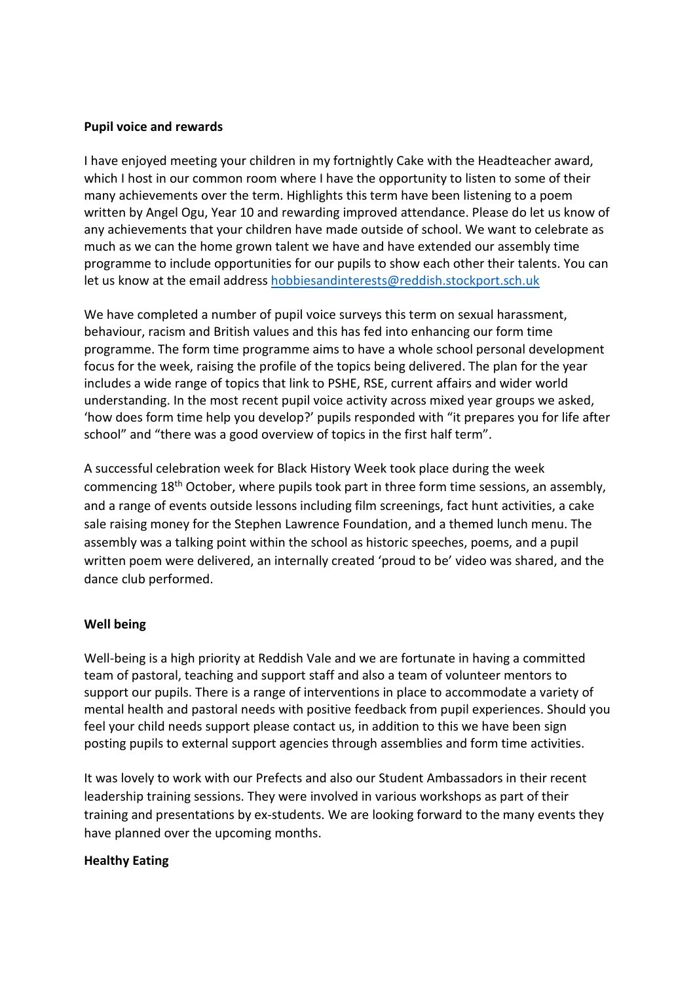#### **Pupil voice and rewards**

I have enjoyed meeting your children in my fortnightly Cake with the Headteacher award, which I host in our common room where I have the opportunity to listen to some of their many achievements over the term. Highlights this term have been listening to a poem written by Angel Ogu, Year 10 and rewarding improved attendance. Please do let us know of any achievements that your children have made outside of school. We want to celebrate as much as we can the home grown talent we have and have extended our assembly time programme to include opportunities for our pupils to show each other their talents. You can let us know at the email address [hobbiesandinterests@reddish.stockport.sch.uk](mailto:hobbiesandinterests@reddish.stockport.sch.uk)

We have completed a number of pupil voice surveys this term on sexual harassment, behaviour, racism and British values and this has fed into enhancing our form time programme. The form time programme aims to have a whole school personal development focus for the week, raising the profile of the topics being delivered. The plan for the year includes a wide range of topics that link to PSHE, RSE, current affairs and wider world understanding. In the most recent pupil voice activity across mixed year groups we asked, 'how does form time help you develop?' pupils responded with "it prepares you for life after school" and "there was a good overview of topics in the first half term".

A successful celebration week for Black History Week took place during the week commencing 18th October, where pupils took part in three form time sessions, an assembly, and a range of events outside lessons including film screenings, fact hunt activities, a cake sale raising money for the Stephen Lawrence Foundation, and a themed lunch menu. The assembly was a talking point within the school as historic speeches, poems, and a pupil written poem were delivered, an internally created 'proud to be' video was shared, and the dance club performed.

## **Well being**

Well-being is a high priority at Reddish Vale and we are fortunate in having a committed team of pastoral, teaching and support staff and also a team of volunteer mentors to support our pupils. There is a range of interventions in place to accommodate a variety of mental health and pastoral needs with positive feedback from pupil experiences. Should you feel your child needs support please contact us, in addition to this we have been sign posting pupils to external support agencies through assemblies and form time activities.

It was lovely to work with our Prefects and also our Student Ambassadors in their recent leadership training sessions. They were involved in various workshops as part of their training and presentations by ex-students. We are looking forward to the many events they have planned over the upcoming months.

#### **Healthy Eating**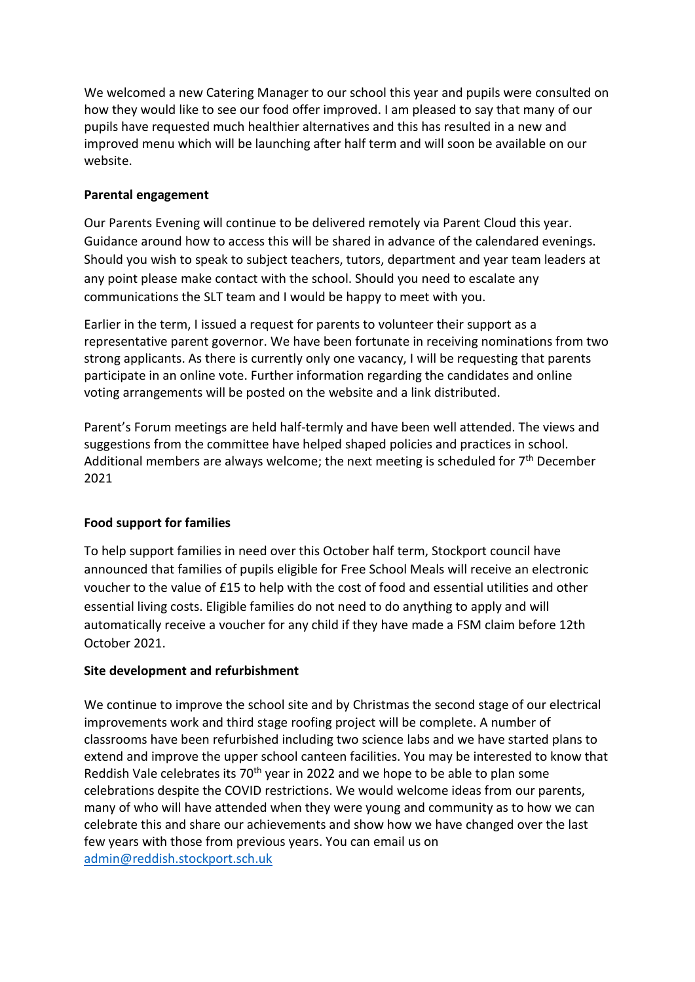We welcomed a new Catering Manager to our school this year and pupils were consulted on how they would like to see our food offer improved. I am pleased to say that many of our pupils have requested much healthier alternatives and this has resulted in a new and improved menu which will be launching after half term and will soon be available on our website.

## **Parental engagement**

Our Parents Evening will continue to be delivered remotely via Parent Cloud this year. Guidance around how to access this will be shared in advance of the calendared evenings. Should you wish to speak to subject teachers, tutors, department and year team leaders at any point please make contact with the school. Should you need to escalate any communications the SLT team and I would be happy to meet with you.

Earlier in the term, I issued a request for parents to volunteer their support as a representative parent governor. We have been fortunate in receiving nominations from two strong applicants. As there is currently only one vacancy, I will be requesting that parents participate in an online vote. Further information regarding the candidates and online voting arrangements will be posted on the website and a link distributed.

Parent's Forum meetings are held half-termly and have been well attended. The views and suggestions from the committee have helped shaped policies and practices in school. Additional members are always welcome; the next meeting is scheduled for  $7<sup>th</sup>$  December 2021

# **Food support for families**

To help support families in need over this October half term, Stockport council have announced that families of pupils eligible for Free School Meals will receive an electronic voucher to the value of £15 to help with the cost of food and essential utilities and other essential living costs. Eligible families do not need to do anything to apply and will automatically receive a voucher for any child if they have made a FSM claim before 12th October 2021.

## **Site development and refurbishment**

We continue to improve the school site and by Christmas the second stage of our electrical improvements work and third stage roofing project will be complete. A number of classrooms have been refurbished including two science labs and we have started plans to extend and improve the upper school canteen facilities. You may be interested to know that Reddish Vale celebrates its 70<sup>th</sup> year in 2022 and we hope to be able to plan some celebrations despite the COVID restrictions. We would welcome ideas from our parents, many of who will have attended when they were young and community as to how we can celebrate this and share our achievements and show how we have changed over the last few years with those from previous years. You can email us on [admin@reddish.stockport.sch.uk](mailto:admin@reddish.stockport.sch.uk)